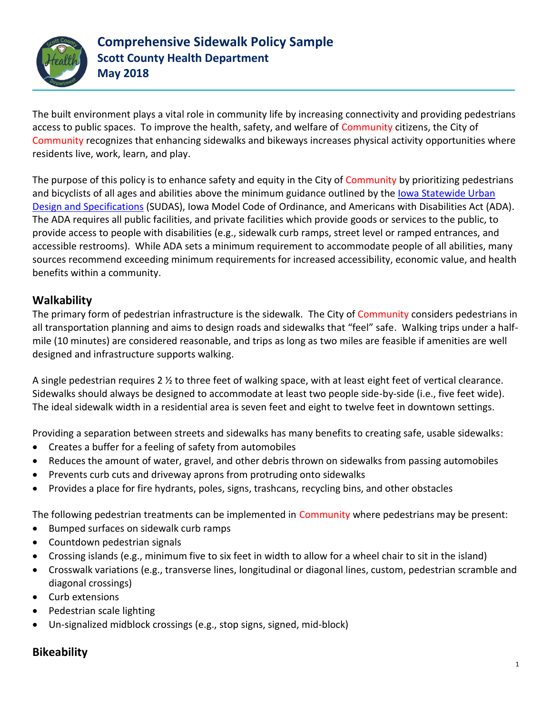

The built environment plays a vital role in community life by increasing connectivity and providing pedestrians access to public spaces. To improve the health, safety, and welfare of Community citizens, the City of Community recognizes that enhancing sidewalks and bikeways increases physical activity opportunities where residents live, work, learn, and play.

The purpose of this policy is to enhance safety and equity in the City of Community by prioritizing pedestrians and bicyclists of all ages and abilities above the minimum guidance outlined by the lowa Statewide Urban [Design and Specifications](http://www.iowasudas.org/) (SUDAS), Iowa Model Code of Ordinance, and Americans with Disabilities Act (ADA). The ADA requires all public facilities, and private facilities which provide goods or services to the public, to provide access to people with disabilities (e.g., sidewalk curb ramps, street level or ramped entrances, and accessible restrooms). While ADA sets a minimum requirement to accommodate people of all abilities, many sources recommend exceeding minimum requirements for increased accessibility, economic value, and health benefits within a community.

## **Walkability**

The primary form of pedestrian infrastructure is the sidewalk. The City of Community considers pedestrians in all transportation planning and aims to design roads and sidewalks that "feel" safe. Walking trips under a halfmile (10 minutes) are considered reasonable, and trips as long as two miles are feasible if amenities are well designed and infrastructure supports walking.

A single pedestrian requires 2  $\frac{1}{2}$  to three feet of walking space, with at least eight feet of vertical clearance. Sidewalks should always be designed to accommodate at least two people side-by-side (i.e., five feet wide). The ideal sidewalk width in a residential area is seven feet and eight to twelve feet in downtown settings.

Providing a separation between streets and sidewalks has many benefits to creating safe, usable sidewalks:

- Creates a buffer for a feeling of safety from automobiles
- Reduces the amount of water, gravel, and other debris thrown on sidewalks from passing automobiles
- Prevents curb cuts and driveway aprons from protruding onto sidewalks
- Provides a place for fire hydrants, poles, signs, trashcans, recycling bins, and other obstacles

The following pedestrian treatments can be implemented in Community where pedestrians may be present:

- Bumped surfaces on sidewalk curb ramps
- Countdown pedestrian signals
- Crossing islands (e.g., minimum five to six feet in width to allow for a wheel chair to sit in the island)
- Crosswalk variations (e.g., transverse lines, longitudinal or diagonal lines, custom, pedestrian scramble and diagonal crossings)
- Curb extensions
- Pedestrian scale lighting
- Un-signalized midblock crossings (e.g., stop signs, signed, mid-block)

## **Bikeability**